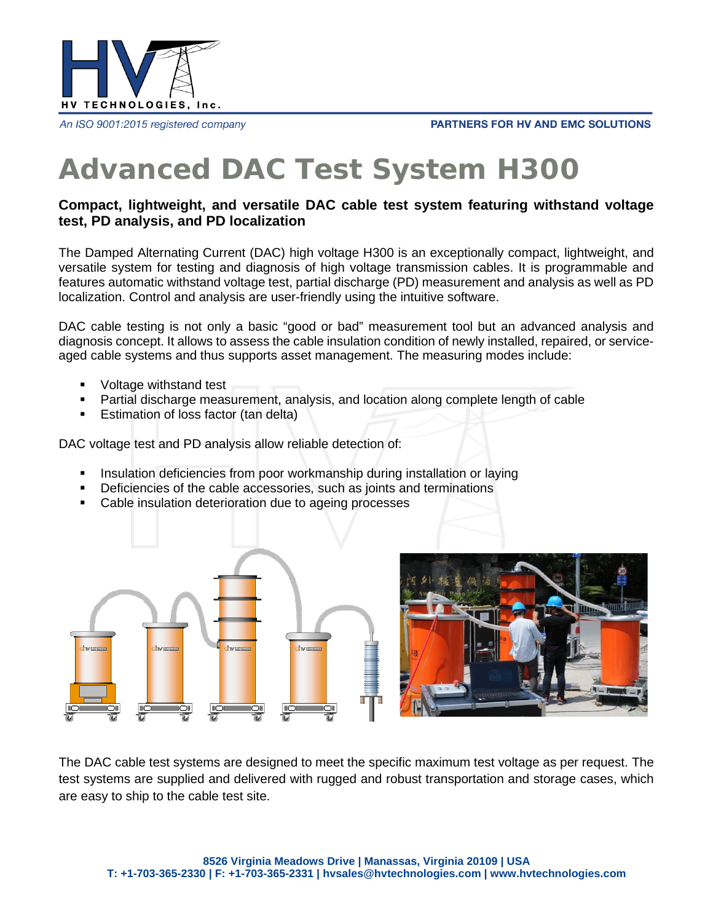

An ISO 9001:2015 registered company

#### **PARTNERS FOR HV AND EMC SOLUTIONS**

# **Advanced DAC Test System H300**

### **Compact, lightweight, and versatile DAC cable test system featuring withstand voltage test, PD analysis, and PD localization**

The Damped Alternating Current (DAC) high voltage H300 is an exceptionally compact, lightweight, and versatile system for testing and diagnosis of high voltage transmission cables. It is programmable and features automatic withstand voltage test, partial discharge (PD) measurement and analysis as well as PD localization. Control and analysis are user-friendly using the intuitive software.

DAC cable testing is not only a basic "good or bad" measurement tool but an advanced analysis and diagnosis concept. It allows to assess the cable insulation condition of newly installed, repaired, or serviceaged cable systems and thus supports asset management. The measuring modes include:

- Voltage withstand test
- Partial discharge measurement, analysis, and location along complete length of cable
- **Estimation of loss factor (tan delta)**

DAC voltage test and PD analysis allow reliable detection of:

- **Insulation deficiencies from poor workmanship during installation or laying**
- Deficiencies of the cable accessories, such as joints and terminations
- Cable insulation deterioration due to ageing processes



The DAC cable test systems are designed to meet the specific maximum test voltage as per request. The test systems are supplied and delivered with rugged and robust transportation and storage cases, which are easy to ship to the cable test site.